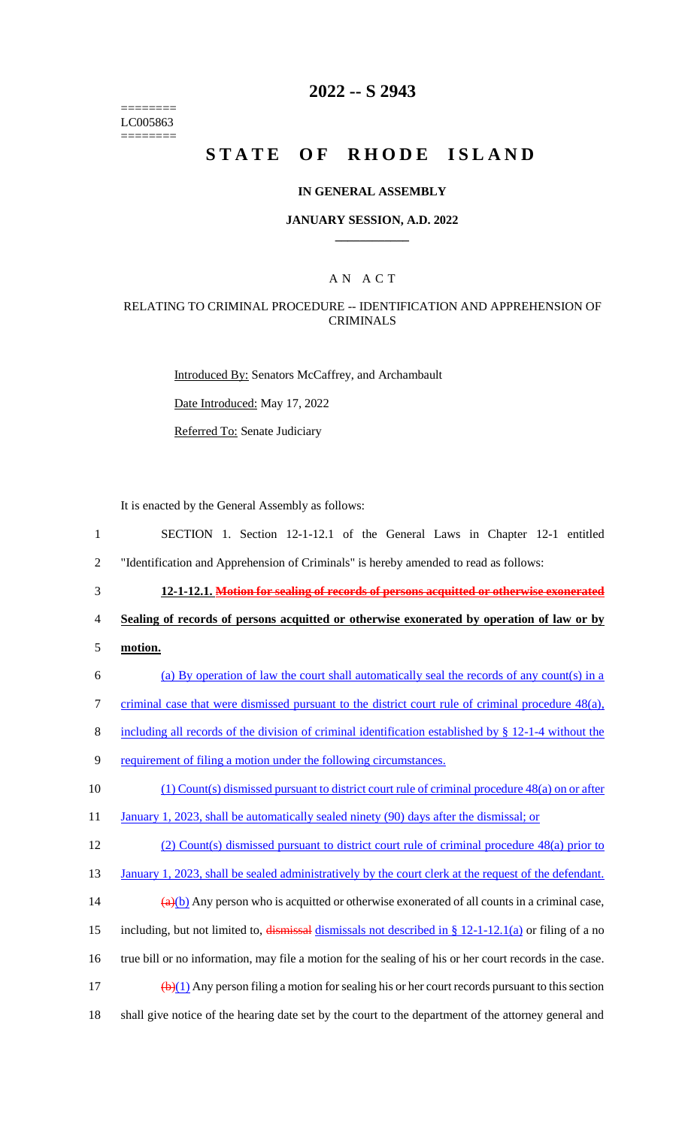======== LC005863 ========

# **2022 -- S 2943**

# **STATE OF RHODE ISLAND**

### **IN GENERAL ASSEMBLY**

### **JANUARY SESSION, A.D. 2022 \_\_\_\_\_\_\_\_\_\_\_\_**

### A N A C T

### RELATING TO CRIMINAL PROCEDURE -- IDENTIFICATION AND APPREHENSION OF CRIMINALS

Introduced By: Senators McCaffrey, and Archambault

Date Introduced: May 17, 2022

Referred To: Senate Judiciary

It is enacted by the General Assembly as follows:

- 1 SECTION 1. Section 12-1-12.1 of the General Laws in Chapter 12-1 entitled 2 "Identification and Apprehension of Criminals" is hereby amended to read as follows:
- 3 **12-1-12.1. Motion for sealing of records of persons acquitted or otherwise exonerated**

4 **Sealing of records of persons acquitted or otherwise exonerated by operation of law or by** 

- 5 **motion.**
- 6 (a) By operation of law the court shall automatically seal the records of any count(s) in a
- 7 criminal case that were dismissed pursuant to the district court rule of criminal procedure 48(a),
- 8 including all records of the division of criminal identification established by § 12-1-4 without the
- 9 requirement of filing a motion under the following circumstances.

10 (1) Count(s) dismissed pursuant to district court rule of criminal procedure 48(a) on or after

- 11 January 1, 2023, shall be automatically sealed ninety (90) days after the dismissal; or
- 12 (2) Count(s) dismissed pursuant to district court rule of criminal procedure 48(a) prior to

13 January 1, 2023, shall be sealed administratively by the court clerk at the request of the defendant.

- 14  $\frac{(a)(b)}{a}$  Any person who is acquitted or otherwise exonerated of all counts in a criminal case,
- 15 including, but not limited to,  $\frac{dismissal}{dismissals}$  not described in § 12-1-12.1(a) or filing of a no
- 16 true bill or no information, may file a motion for the sealing of his or her court records in the case.
- 17  $(b)(1)$  Any person filing a motion for sealing his or her court records pursuant to this section
- 18 shall give notice of the hearing date set by the court to the department of the attorney general and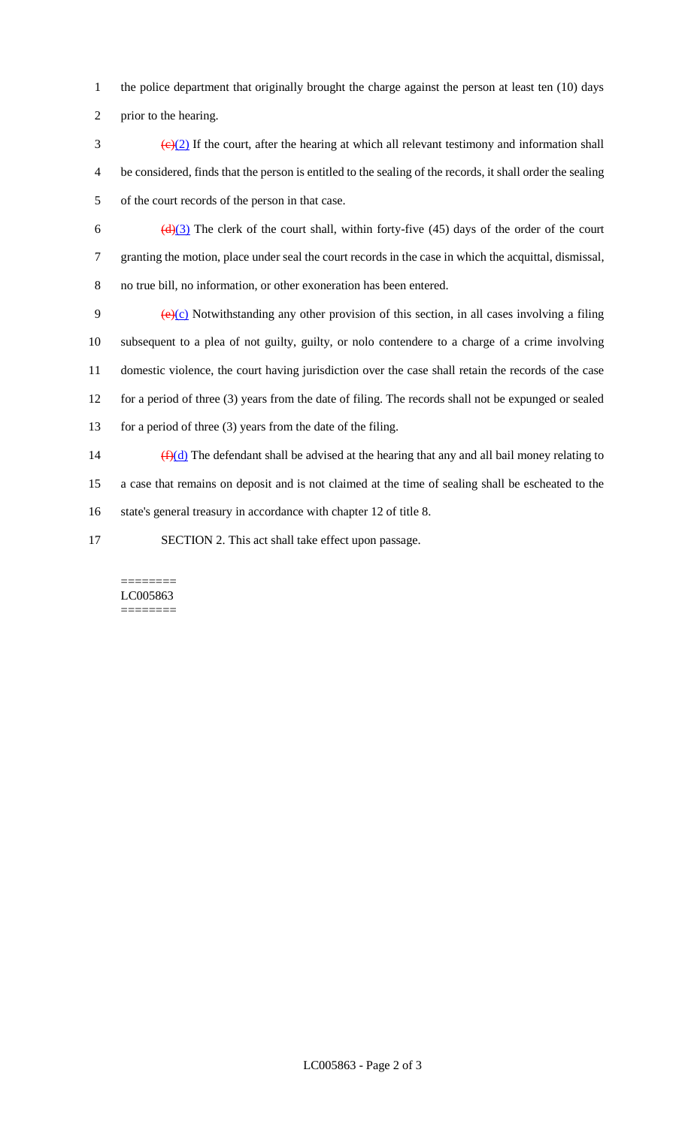- 1 the police department that originally brought the charge against the person at least ten (10) days
- 2 prior to the hearing.
- $\frac{1}{2}$  S (e)(2) If the court, after the hearing at which all relevant testimony and information shall 4 be considered, finds that the person is entitled to the sealing of the records, it shall order the sealing 5 of the court records of the person in that case.
- 6  $(d)(3)$  The clerk of the court shall, within forty-five (45) days of the order of the court 7 granting the motion, place under seal the court records in the case in which the acquittal, dismissal, 8 no true bill, no information, or other exoneration has been entered.
- 9  $\left(\frac{e}{c}\right)$  Notwithstanding any other provision of this section, in all cases involving a filing 10 subsequent to a plea of not guilty, guilty, or nolo contendere to a charge of a crime involving 11 domestic violence, the court having jurisdiction over the case shall retain the records of the case 12 for a period of three (3) years from the date of filing. The records shall not be expunged or sealed 13 for a period of three (3) years from the date of the filing.
- 14  $(f)(d)$  The defendant shall be advised at the hearing that any and all bail money relating to 15 a case that remains on deposit and is not claimed at the time of sealing shall be escheated to the 16 state's general treasury in accordance with chapter 12 of title 8.
- 17 SECTION 2. This act shall take effect upon passage.

#### ======== LC005863 ========